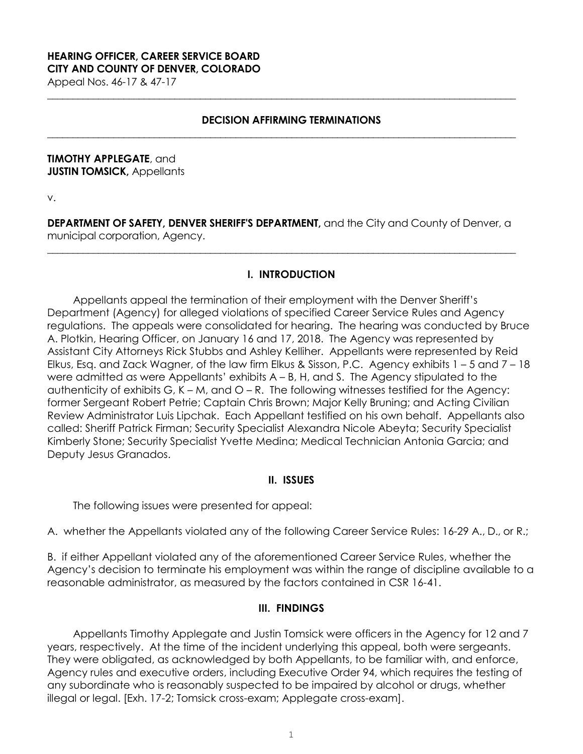# **HEARING OFFICER, CAREER SERVICE BOARD CITY AND COUNTY OF DENVER, COLORADO**

Appeal Nos. 46-17 & 47-17

#### **DECISION AFFIRMING TERMINATIONS**

**\_\_\_\_\_\_\_\_\_\_\_\_\_\_\_\_\_\_\_\_\_\_\_\_\_\_\_\_\_\_\_\_\_\_\_\_\_\_\_\_\_\_\_\_\_\_\_\_\_\_\_\_\_\_\_\_\_\_\_\_\_\_\_\_\_\_\_\_\_\_\_\_\_\_\_\_\_\_\_\_\_\_\_\_\_\_\_\_\_\_\_\_**

**\_\_\_\_\_\_\_\_\_\_\_\_\_\_\_\_\_\_\_\_\_\_\_\_\_\_\_\_\_\_\_\_\_\_\_\_\_\_\_\_\_\_\_\_\_\_\_\_\_\_\_\_\_\_\_\_\_\_\_\_\_\_\_\_\_\_\_\_\_\_\_\_\_\_\_\_\_\_\_\_\_\_\_\_\_\_\_\_\_\_\_\_**

#### **TIMOTHY APPLEGATE**, and **JUSTIN TOMSICK, Appellants**

v.

**DEPARTMENT OF SAFETY, DENVER SHERIFF'S DEPARTMENT,** and the City and County of Denver, a municipal corporation, Agency.

**\_\_\_\_\_\_\_\_\_\_\_\_\_\_\_\_\_\_\_\_\_\_\_\_\_\_\_\_\_\_\_\_\_\_\_\_\_\_\_\_\_\_\_\_\_\_\_\_\_\_\_\_\_\_\_\_\_\_\_\_\_\_\_\_\_\_\_\_\_\_\_\_\_\_\_\_\_\_\_\_\_\_\_\_\_\_\_\_\_\_\_\_**

## **I. INTRODUCTION**

Appellants appeal the termination of their employment with the Denver Sheriff's Department (Agency) for alleged violations of specified Career Service Rules and Agency regulations. The appeals were consolidated for hearing. The hearing was conducted by Bruce A. Plotkin, Hearing Officer, on January 16 and 17, 2018. The Agency was represented by Assistant City Attorneys Rick Stubbs and Ashley Kelliher. Appellants were represented by Reid Elkus, Esq. and Zack Wagner, of the law firm Elkus & Sisson, P.C. Agency exhibits 1 – 5 and 7 – 18 were admitted as were Appellants' exhibits  $A - B$ , H, and S. The Agency stipulated to the authenticity of exhibits G,  $K - M$ , and  $O - R$ . The following witnesses testified for the Agency: former Sergeant Robert Petrie; Captain Chris Brown; Major Kelly Bruning; and Acting Civilian Review Administrator Luis Lipchak. Each Appellant testified on his own behalf. Appellants also called: Sheriff Patrick Firman; Security Specialist Alexandra Nicole Abeyta; Security Specialist Kimberly Stone; Security Specialist Yvette Medina; Medical Technician Antonia Garcia; and Deputy Jesus Granados.

#### **II. ISSUES**

The following issues were presented for appeal:

A. whether the Appellants violated any of the following Career Service Rules: 16-29 A., D., or R.;

B. if either Appellant violated any of the aforementioned Career Service Rules, whether the Agency's decision to terminate his employment was within the range of discipline available to a reasonable administrator, as measured by the factors contained in CSR 16-41.

#### **III. FINDINGS**

Appellants Timothy Applegate and Justin Tomsick were officers in the Agency for 12 and 7 years, respectively. At the time of the incident underlying this appeal, both were sergeants. They were obligated, as acknowledged by both Appellants, to be familiar with, and enforce, Agency rules and executive orders, including Executive Order 94, which requires the testing of any subordinate who is reasonably suspected to be impaired by alcohol or drugs, whether illegal or legal. [Exh. 17-2; Tomsick cross-exam; Applegate cross-exam].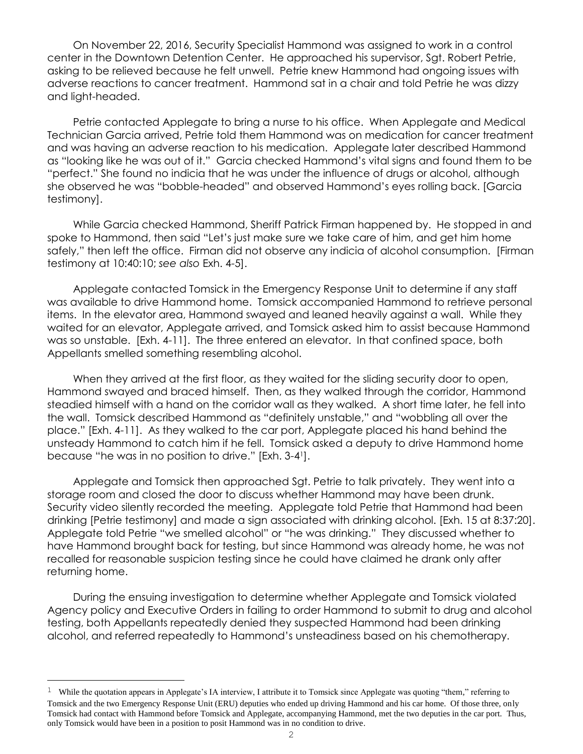On November 22, 2016, Security Specialist Hammond was assigned to work in a control center in the Downtown Detention Center. He approached his supervisor, Sgt. Robert Petrie, asking to be relieved because he felt unwell. Petrie knew Hammond had ongoing issues with adverse reactions to cancer treatment. Hammond sat in a chair and told Petrie he was dizzy and light-headed.

Petrie contacted Applegate to bring a nurse to his office. When Applegate and Medical Technician Garcia arrived, Petrie told them Hammond was on medication for cancer treatment and was having an adverse reaction to his medication. Applegate later described Hammond as "looking like he was out of it." Garcia checked Hammond's vital signs and found them to be "perfect." She found no indicia that he was under the influence of drugs or alcohol, although she observed he was "bobble-headed" and observed Hammond's eyes rolling back. [Garcia testimony].

While Garcia checked Hammond, Sheriff Patrick Firman happened by. He stopped in and spoke to Hammond, then said "Let's just make sure we take care of him, and get him home safely," then left the office. Firman did not observe any indicia of alcohol consumption. [Firman testimony at 10:40:10; *see also* Exh. 4-5].

Applegate contacted Tomsick in the Emergency Response Unit to determine if any staff was available to drive Hammond home. Tomsick accompanied Hammond to retrieve personal items. In the elevator area, Hammond swayed and leaned heavily against a wall. While they waited for an elevator, Applegate arrived, and Tomsick asked him to assist because Hammond was so unstable. [Exh. 4-11]. The three entered an elevator. In that confined space, both Appellants smelled something resembling alcohol.

When they arrived at the first floor, as they waited for the sliding security door to open, Hammond swayed and braced himself. Then, as they walked through the corridor, Hammond steadied himself with a hand on the corridor wall as they walked. A short time later, he fell into the wall. Tomsick described Hammond as "definitely unstable," and "wobbling all over the place." [Exh. 4-11]. As they walked to the car port, Applegate placed his hand behind the unsteady Hammond to catch him if he fell. Tomsick asked a deputy to drive Hammond home because "he was in no position to drive." [Exh. 3-4<sup>1</sup> ].

Applegate and Tomsick then approached Sgt. Petrie to talk privately. They went into a storage room and closed the door to discuss whether Hammond may have been drunk. Security video silently recorded the meeting. Applegate told Petrie that Hammond had been drinking [Petrie testimony] and made a sign associated with drinking alcohol. [Exh. 15 at 8:37:20]. Applegate told Petrie "we smelled alcohol" or "he was drinking." They discussed whether to have Hammond brought back for testing, but since Hammond was already home, he was not recalled for reasonable suspicion testing since he could have claimed he drank only after returning home.

During the ensuing investigation to determine whether Applegate and Tomsick violated Agency policy and Executive Orders in failing to order Hammond to submit to drug and alcohol testing, both Appellants repeatedly denied they suspected Hammond had been drinking alcohol, and referred repeatedly to Hammond's unsteadiness based on his chemotherapy.

i<br>L

<sup>&</sup>lt;sup>1</sup> While the quotation appears in Applegate's IA interview, I attribute it to Tomsick since Applegate was quoting "them," referring to Tomsick and the two Emergency Response Unit (ERU) deputies who ended up driving Hammond and his car home. Of those three, only Tomsick had contact with Hammond before Tomsick and Applegate, accompanying Hammond, met the two deputies in the car port. Thus, only Tomsick would have been in a position to posit Hammond was in no condition to drive.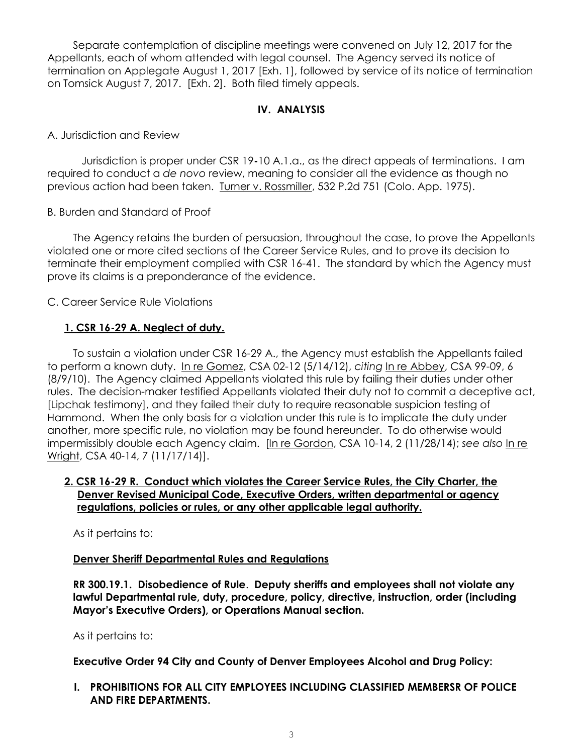Separate contemplation of discipline meetings were convened on July 12, 2017 for the Appellants, each of whom attended with legal counsel. The Agency served its notice of termination on Applegate August 1, 2017 [Exh. 1], followed by service of its notice of termination on Tomsick August 7, 2017. [Exh. 2]. Both filed timely appeals.

# **IV. ANALYSIS**

A. Jurisdiction and Review

Jurisdiction is proper under CSR 19**-**10 A.1.a., as the direct appeals of terminations. I am required to conduct a *de novo* review, meaning to consider all the evidence as though no previous action had been taken. Turner v. Rossmiller, 532 P.2d 751 (Colo. App. 1975).

B. Burden and Standard of Proof

The Agency retains the burden of persuasion, throughout the case, to prove the Appellants violated one or more cited sections of the Career Service Rules, and to prove its decision to terminate their employment complied with CSR 16-41. The standard by which the Agency must prove its claims is a preponderance of the evidence.

C. Career Service Rule Violations

# **1. CSR 16-29 A. Neglect of duty.**

To sustain a violation under CSR 16-29 A., the Agency must establish the Appellants failed to perform a known duty. In re Gomez, CSA 02-12 (5/14/12), *citing* [In re Abbey,](http://www.denvergov.org/Portals/671/documents/Hearings/Abbey_Theophilus_99-09_Decision.pdf) CSA 99-09, 6 (8/9/10). The Agency claimed Appellants violated this rule by failing their duties under other rules. The decision-maker testified Appellants violated their duty not to commit a deceptive act, [Lipchak testimony], and they failed their duty to require reasonable suspicion testing of Hammond. When the only basis for a violation under this rule is to implicate the duty under another, more specific rule, no violation may be found hereunder. To do otherwise would impermissibly double each Agency claim. [In re Gordon, CSA 10-14, 2 (11/28/14); *see also* In re Wright, CSA 40-14, 7 (11/17/14)].

## **2. CSR 16-29 R. Conduct which violates the Career Service Rules, the City Charter, the Denver Revised Municipal Code, Executive Orders, written departmental or agency regulations, policies or rules, or any other applicable legal authority.**

As it pertains to:

#### **Denver Sheriff Departmental Rules and Regulations**

**RR 300.19.1. Disobedience of Rule**. **Deputy sheriffs and employees shall not violate any lawful Departmental rule, duty, procedure, policy, directive, instruction, order (including Mayor's Executive Orders), or Operations Manual section.** 

As it pertains to:

**Executive Order 94 City and County of Denver Employees Alcohol and Drug Policy:**

**I. PROHIBITIONS FOR ALL CITY EMPLOYEES INCLUDING CLASSIFIED MEMBERSR OF POLICE AND FIRE DEPARTMENTS.**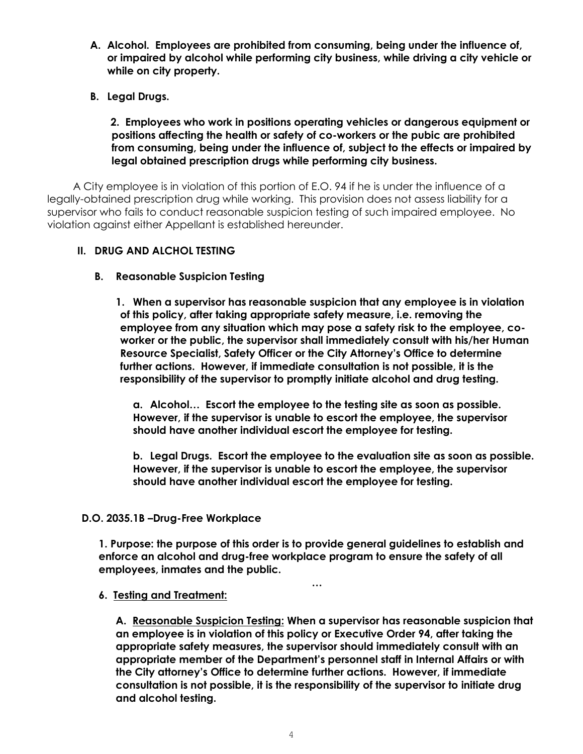- **A. Alcohol. Employees are prohibited from consuming, being under the influence of, or impaired by alcohol while performing city business, while driving a city vehicle or while on city property.**
- **B. Legal Drugs.**

### **2. Employees who work in positions operating vehicles or dangerous equipment or positions affecting the health or safety of co-workers or the pubic are prohibited from consuming, being under the influence of, subject to the effects or impaired by legal obtained prescription drugs while performing city business.**

A City employee is in violation of this portion of E.O. 94 if he is under the influence of a legally-obtained prescription drug while working. This provision does not assess liability for a supervisor who fails to conduct reasonable suspicion testing of such impaired employee. No violation against either Appellant is established hereunder.

## **II. DRUG AND ALCHOL TESTING**

## **B. Reasonable Suspicion Testing**

**1. When a supervisor has reasonable suspicion that any employee is in violation of this policy, after taking appropriate safety measure, i.e. removing the employee from any situation which may pose a safety risk to the employee, coworker or the public, the supervisor shall immediately consult with his/her Human Resource Specialist, Safety Officer or the City Attorney's Office to determine further actions. However, if immediate consultation is not possible, it is the responsibility of the supervisor to promptly initiate alcohol and drug testing.**

**a. Alcohol… Escort the employee to the testing site as soon as possible. However, if the supervisor is unable to escort the employee, the supervisor should have another individual escort the employee for testing.**

**b. Legal Drugs. Escort the employee to the evaluation site as soon as possible. However, if the supervisor is unable to escort the employee, the supervisor should have another individual escort the employee for testing.** 

#### **D.O. 2035.1B –Drug-Free Workplace**

**1. Purpose: the purpose of this order is to provide general guidelines to establish and enforce an alcohol and drug-free workplace program to ensure the safety of all employees, inmates and the public.** 

**…**

#### **6. Testing and Treatment:**

**A. Reasonable Suspicion Testing: When a supervisor has reasonable suspicion that an employee is in violation of this policy or Executive Order 94, after taking the appropriate safety measures, the supervisor should immediately consult with an appropriate member of the Department's personnel staff in Internal Affairs or with the City attorney's Office to determine further actions. However, if immediate consultation is not possible, it is the responsibility of the supervisor to initiate drug and alcohol testing.**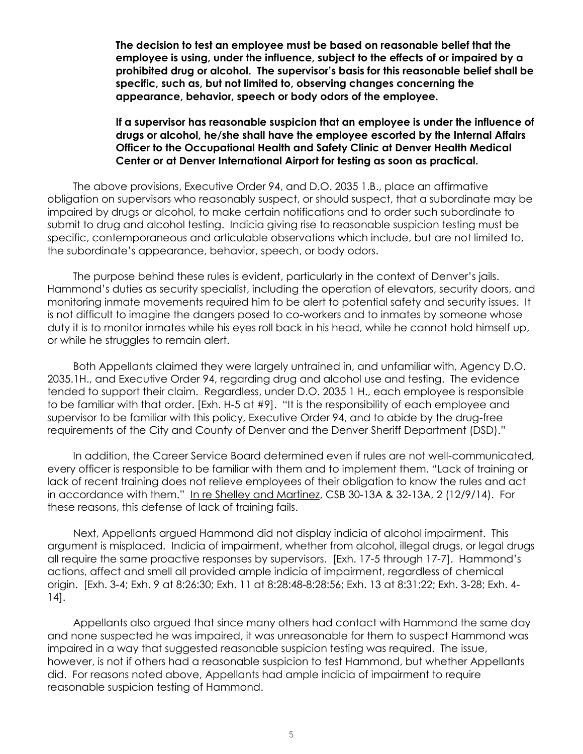**The decision to test an employee must be based on reasonable belief that the employee is using, under the influence, subject to the effects of or impaired by a prohibited drug or alcohol. The supervisor's basis for this reasonable belief shall be specific, such as, but not limited to, observing changes concerning the appearance, behavior, speech or body odors of the employee.** 

#### **If a supervisor has reasonable suspicion that an employee is under the influence of drugs or alcohol, he/she shall have the employee escorted by the Internal Affairs Officer to the Occupational Health and Safety Clinic at Denver Health Medical Center or at Denver International Airport for testing as soon as practical.**

The above provisions, Executive Order 94, and D.O. 2035 1.B., place an affirmative obligation on supervisors who reasonably suspect, or should suspect, that a subordinate may be impaired by drugs or alcohol, to make certain notifications and to order such subordinate to submit to drug and alcohol testing. Indicia giving rise to reasonable suspicion testing must be specific, contemporaneous and articulable observations which include, but are not limited to, the subordinate's appearance, behavior, speech, or body odors.

The purpose behind these rules is evident, particularly in the context of Denver's jails. Hammond's duties as security specialist, including the operation of elevators, security doors, and monitoring inmate movements required him to be alert to potential safety and security issues. It is not difficult to imagine the dangers posed to co-workers and to inmates by someone whose duty it is to monitor inmates while his eyes roll back in his head, while he cannot hold himself up, or while he struggles to remain alert.

Both Appellants claimed they were largely untrained in, and unfamiliar with, Agency D.O. 2035.1H., and Executive Order 94, regarding drug and alcohol use and testing. The evidence tended to support their claim. Regardless, under D.O. 2035 1 H., each employee is responsible to be familiar with that order. [Exh. H-5 at #9]. "It is the responsibility of each employee and supervisor to be familiar with this policy, Executive Order 94, and to abide by the drug-free requirements of the City and County of Denver and the Denver Sheriff Department (DSD)."

In addition, the Career Service Board determined even if rules are not well-communicated, every officer is responsible to be familiar with them and to implement them. "Lack of training or lack of recent training does not relieve employees of their obligation to know the rules and act in accordance with them." In re Shelley and Martinez, CSB 30-13A & 32-13A, 2 (12/9/14). For these reasons, this defense of lack of training fails.

Next, Appellants argued Hammond did not display indicia of alcohol impairment. This argument is misplaced. Indicia of impairment, whether from alcohol, illegal drugs, or legal drugs all require the same proactive responses by supervisors. [Exh. 17-5 through 17-7]. Hammond's actions, affect and smell all provided ample indicia of impairment, regardless of chemical origin. [Exh. 3-4; Exh. 9 at 8:26:30; Exh. 11 at 8:28:48-8:28:56; Exh. 13 at 8:31:22; Exh. 3-28; Exh. 4- 14].

Appellants also argued that since many others had contact with Hammond the same day and none suspected he was impaired, it was unreasonable for them to suspect Hammond was impaired in a way that suggested reasonable suspicion testing was required. The issue, however, is not if others had a reasonable suspicion to test Hammond, but whether Appellants did. For reasons noted above, Appellants had ample indicia of impairment to require reasonable suspicion testing of Hammond.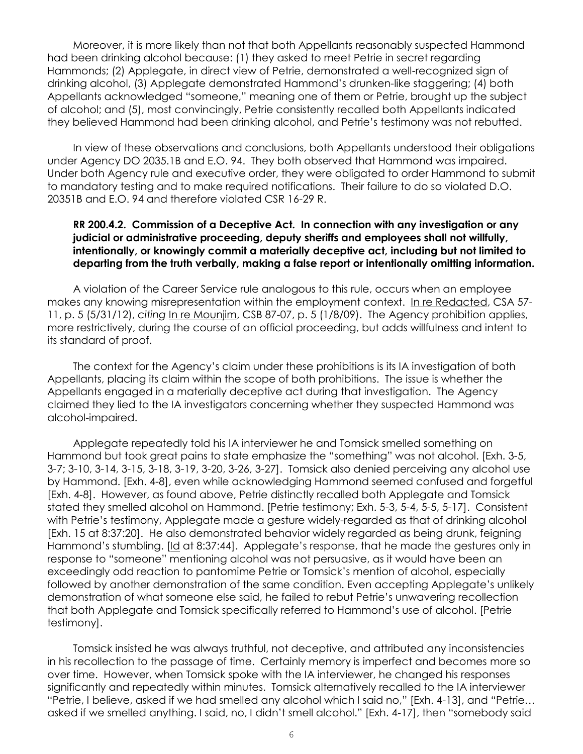Moreover, it is more likely than not that both Appellants reasonably suspected Hammond had been drinking alcohol because: (1) they asked to meet Petrie in secret regarding Hammonds; (2) Applegate, in direct view of Petrie, demonstrated a well-recognized sign of drinking alcohol, (3) Applegate demonstrated Hammond's drunken-like staggering; (4) both Appellants acknowledged "someone," meaning one of them or Petrie, brought up the subject of alcohol; and (5), most convincingly, Petrie consistently recalled both Appellants indicated they believed Hammond had been drinking alcohol, and Petrie's testimony was not rebutted.

In view of these observations and conclusions, both Appellants understood their obligations under Agency DO 2035.1B and E.O. 94. They both observed that Hammond was impaired. Under both Agency rule and executive order, they were obligated to order Hammond to submit to mandatory testing and to make required notifications. Their failure to do so violated D.O. 20351B and E.O. 94 and therefore violated CSR 16-29 R.

#### **RR 200.4.2. Commission of a Deceptive Act. In connection with any investigation or any judicial or administrative proceeding, deputy sheriffs and employees shall not willfully, intentionally, or knowingly commit a materially deceptive act, including but not limited to departing from the truth verbally, making a false report or intentionally omitting information.**

A violation of the Career Service rule analogous to this rule, occurs when an employee makes any knowing misrepresentation within the employment context. [In re Redacted,](https://www.denvergov.org/content/dam/denvergov/Portals/hearings_office/documents/Hearings/Rogala_Amy_57-11_Decision_Redacted.pdf) CSA 57-11, p. 5 (5/31/12), *citing* [In re Mounjim,](https://www.denvergov.org/content/dam/denvergov/Portals/hearings_office/documents/Hearings/Mounjim_Ronalda_87-07_Board_Findings_and_Order.pdf) CSB 87-07, p. 5 (1/8/09). The Agency prohibition applies, more restrictively, during the course of an official proceeding, but adds willfulness and intent to its standard of proof.

The context for the Agency's claim under these prohibitions is its IA investigation of both Appellants, placing its claim within the scope of both prohibitions. The issue is whether the Appellants engaged in a materially deceptive act during that investigation. The Agency claimed they lied to the IA investigators concerning whether they suspected Hammond was alcohol-impaired.

Applegate repeatedly told his IA interviewer he and Tomsick smelled something on Hammond but took great pains to state emphasize the "something" was not alcohol. [Exh. 3-5, 3-7; 3-10, 3-14, 3-15, 3-18, 3-19, 3-20, 3-26, 3-27]. Tomsick also denied perceiving any alcohol use by Hammond. [Exh. 4-8], even while acknowledging Hammond seemed confused and forgetful [Exh. 4-8]. However, as found above, Petrie distinctly recalled both Applegate and Tomsick stated they smelled alcohol on Hammond. [Petrie testimony; Exh. 5-3, 5-4, 5-5, 5-17]. Consistent with Petrie's testimony, Applegate made a gesture widely-regarded as that of drinking alcohol [Exh. 15 at 8:37:20]. He also demonstrated behavior widely regarded as being drunk, feigning Hammond's stumbling. [Id at 8:37:44]. Applegate's response, that he made the gestures only in response to "someone" mentioning alcohol was not persuasive, as it would have been an exceedingly odd reaction to pantomime Petrie or Tomsick's mention of alcohol, especially followed by another demonstration of the same condition. Even accepting Applegate's unlikely demonstration of what someone else said, he failed to rebut Petrie's unwavering recollection that both Applegate and Tomsick specifically referred to Hammond's use of alcohol. [Petrie testimony].

Tomsick insisted he was always truthful, not deceptive, and attributed any inconsistencies in his recollection to the passage of time. Certainly memory is imperfect and becomes more so over time. However, when Tomsick spoke with the IA interviewer, he changed his responses significantly and repeatedly within minutes. Tomsick alternatively recalled to the IA interviewer "Petrie, I believe, asked if we had smelled any alcohol which I said no," [Exh. 4-13], and "Petrie… asked if we smelled anything. I said, no, I didn't smell alcohol." [Exh. 4-17], then "somebody said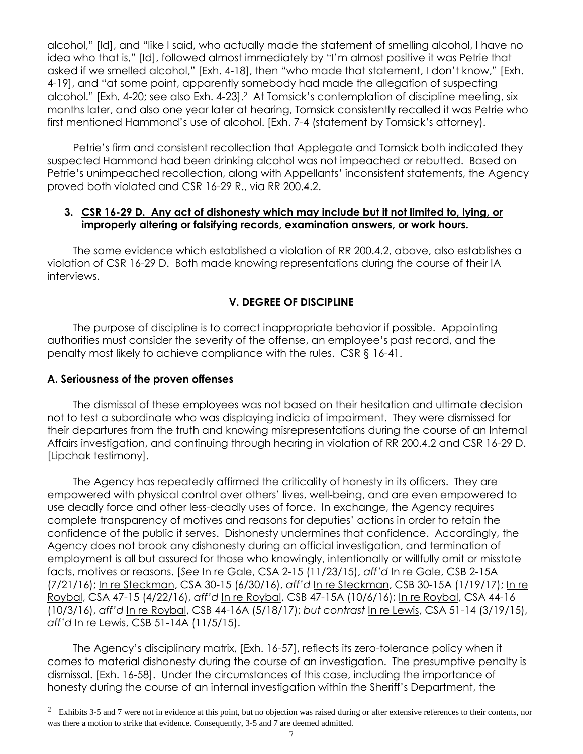alcohol," [Id], and "like I said, who actually made the statement of smelling alcohol, I have no idea who that is," [Id], followed almost immediately by "I'm almost positive it was Petrie that asked if we smelled alcohol," [Exh. 4-18], then "who made that statement, I don't know," [Exh. 4-19], and "at some point, apparently somebody had made the allegation of suspecting alcohol." [Exh. 4-20; see also Exh. 4-23].<sup>2</sup> At Tomsick's contemplation of discipline meeting, six months later, and also one year later at hearing, Tomsick consistently recalled it was Petrie who first mentioned Hammond's use of alcohol. [Exh. 7-4 (statement by Tomsick's attorney).

Petrie's firm and consistent recollection that Applegate and Tomsick both indicated they suspected Hammond had been drinking alcohol was not impeached or rebutted. Based on Petrie's unimpeached recollection, along with Appellants' inconsistent statements, the Agency proved both violated and CSR 16-29 R., via RR 200.4.2.

### **3. CSR 16-29 D. Any act of dishonesty which may include but it not limited to, lying, or improperly altering or falsifying records, examination answers, or work hours.**

The same evidence which established a violation of RR 200.4.2, above, also establishes a violation of CSR 16-29 D. Both made knowing representations during the course of their IA interviews.

# **V. DEGREE OF DISCIPLINE**

The purpose of discipline is to correct inappropriate behavior if possible. Appointing authorities must consider the severity of the offense, an employee's past record, and the penalty most likely to achieve compliance with the rules. CSR § 16-41.

#### **A. Seriousness of the proven offenses**

i<br>L

The dismissal of these employees was not based on their hesitation and ultimate decision not to test a subordinate who was displaying indicia of impairment. They were dismissed for their departures from the truth and knowing misrepresentations during the course of an Internal Affairs investigation, and continuing through hearing in violation of RR 200.4.2 and CSR 16-29 D. [Lipchak testimony].

The Agency has repeatedly affirmed the criticality of honesty in its officers. They are empowered with physical control over others' lives, well-being, and are even empowered to use deadly force and other less-deadly uses of force. In exchange, the Agency requires complete transparency of motives and reasons for deputies' actions in order to retain the confidence of the public it serves. Dishonesty undermines that confidence. Accordingly, the Agency does not brook any dishonesty during an official investigation, and termination of employment is all but assured for those who knowingly, intentionally or willfully omit or misstate facts, motives or reasons. [*See* In re Gale, CSA 2-15 (11/23/15), *aff'd* In re Gale, CSB 2-15A (7/21/16); In re Steckman, CSA 30-15 (6/30/16), *aff'd* In re Steckman, CSB 30-15A (1/19/17); In re Roybal, CSA 47-15 (4/22/16), *aff'd* In re Roybal, CSB 47-15A (10/6/16); In re Roybal, CSA 44-16 (10/3/16), *aff'd* In re Roybal, CSB 44-16A (5/18/17); *but contrast* In re Lewis, CSA 51-14 (3/19/15), *aff'd* In re Lewis, CSB 51-14A (11/5/15).

The Agency's disciplinary matrix, [Exh. 16-57], reflects its zero-tolerance policy when it comes to material dishonesty during the course of an investigation. The presumptive penalty is dismissal. [Exh. 16-58]. Under the circumstances of this case, including the importance of honesty during the course of an internal investigation within the Sheriff's Department, the

 $2\,$  Exhibits 3-5 and 7 were not in evidence at this point, but no objection was raised during or after extensive references to their contents, nor was there a motion to strike that evidence. Consequently, 3-5 and 7 are deemed admitted.